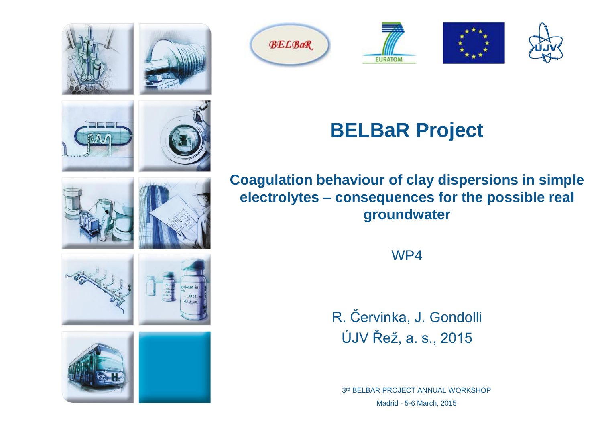











# **BELBaR Project**

**Coagulation behaviour of clay dispersions in simple electrolytes – consequences for the possible real groundwater**

WP4

R. Červinka, J. Gondolli ÚJV Řež, a. s., 2015

3rd BELBAR PROJECT ANNUAL WORKSHOP Madrid - 5-6 March, 2015











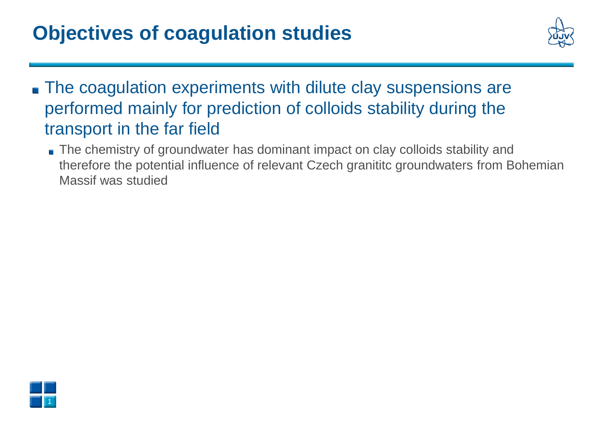## **Objectives of coagulation studies**



- **The coagulation experiments with dilute clay suspensions are** performed mainly for prediction of colloids stability during the transport in the far field
	- The chemistry of groundwater has dominant impact on clay colloids stability and therefore the potential influence of relevant Czech granititc groundwaters from Bohemian Massif was studied

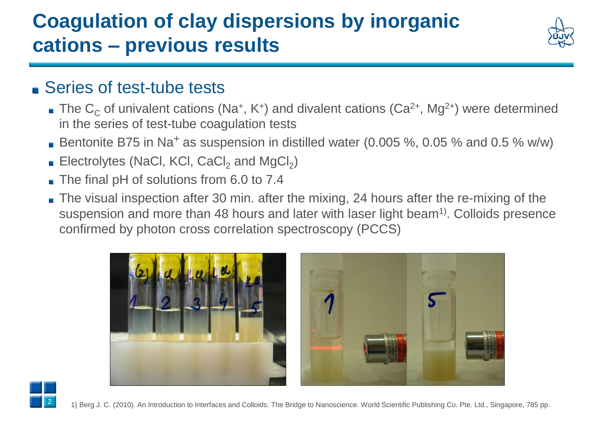## **Coagulation of clay dispersions by inorganic cations – previous results**



#### ■ Series of test-tube tests

- The  $C_C$  of univalent cations (Na<sup>+</sup>, K<sup>+</sup>) and divalent cations (Ca<sup>2+</sup>, Mg<sup>2+</sup>) were determined in the series of test-tube coagulation tests
- Bentonite B75 in Na<sup>+</sup> as suspension in distilled water (0.005 %, 0.05 % and 0.5 % w/w)
- Electrolytes (NaCl, KCl, CaCl<sub>2</sub> and MgCl<sub>2</sub>)
- The final pH of solutions from 6.0 to 7.4
- The visual inspection after 30 min. after the mixing, 24 hours after the re-mixing of the suspension and more than 48 hours and later with laser light beam<sup>1)</sup>. Colloids presence confirmed by photon cross correlation spectroscopy (PCCS)





1} Berg J. C. (2010). An Introduction to Interfaces and Colloids: The Bridge to Nanoscience. World Scientific Publishing Co. Pte. Ltd., Singapore, 785 pp.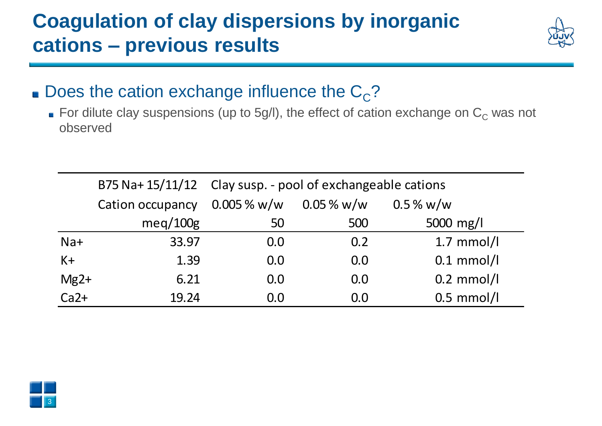## **Coagulation of clay dispersions by inorganic cations – previous results**



- Does the cation exchange influence the  $C_{\rm C}$ ?
	- For dilute clay suspensions (up to 5g/l), the effect of cation exchange on  $C_C$  was not observed

|        |                  | B75 Na+ 15/11/12 Clay susp. - pool of exchangeable cations |                |              |  |
|--------|------------------|------------------------------------------------------------|----------------|--------------|--|
|        | Cation occupancy | $0.005\,\%$ w/w                                            | $0.05\,\%$ w/w | $0.5\%$ w/w  |  |
|        | meq/100g         | 50                                                         | 500            | 5000 mg/l    |  |
| $Na+$  | 33.97            | 0.0                                                        | 0.2            | $1.7$ mmol/l |  |
| $K+$   | 1.39             | 0.0                                                        | 0.0            | $0.1$ mmol/l |  |
| $Mg2+$ | 6.21             | 0.0                                                        | 0.0            | $0.2$ mmol/l |  |
| $Ca2+$ | 19.24            | 0.0                                                        | 0.0            | $0.5$ mmol/l |  |

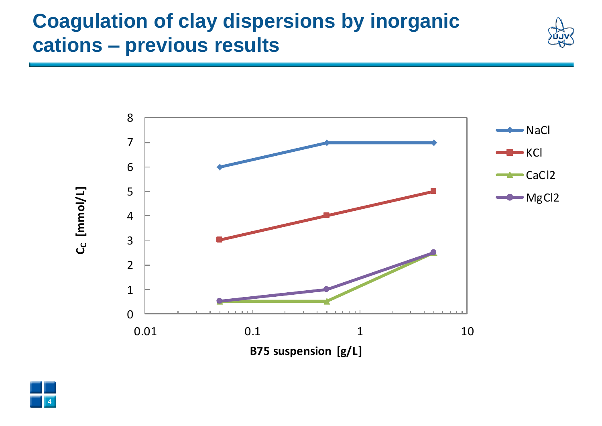### **Coagulation of clay dispersions by inorganic cations – previous results**





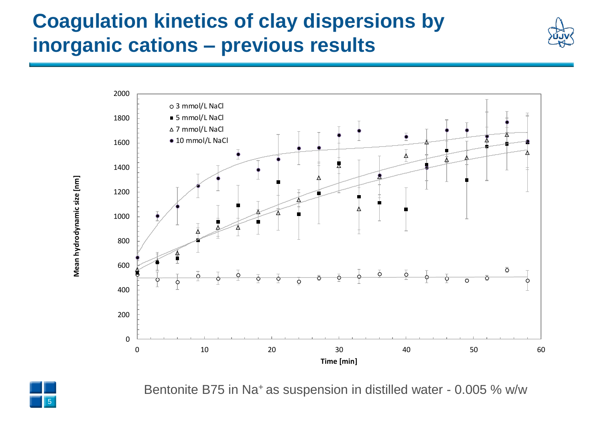## **Coagulation kinetics of clay dispersions by inorganic cations – previous results**





Bentonite B75 in Na<sup>+</sup> as suspension in distilled water - 0.005 % w/w

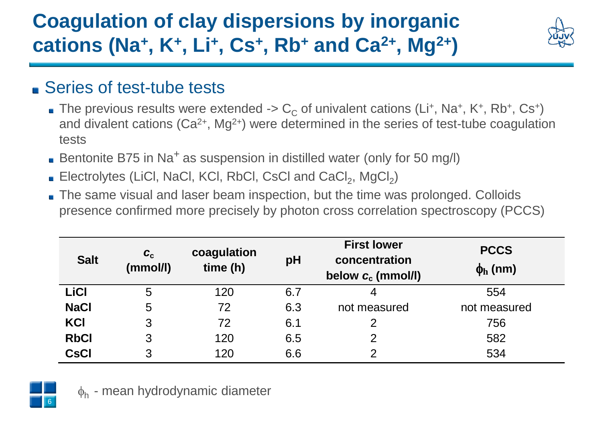# **Coagulation of clay dispersions by inorganic cations (Na<sup>+</sup> , K<sup>+</sup> , Li<sup>+</sup> , Cs<sup>+</sup> , Rb<sup>+</sup> and Ca2+, Mg2+)**



### ■ Series of test-tube tests

- The previous results were extended ->  $\rm C_c$  of univalent cations (Li+, Na+, K+, Rb+, Cs+) and divalent cations  $(Ca^{2+}, Mg^{2+})$  were determined in the series of test-tube coagulation tests
- Bentonite B75 in Na<sup>+</sup> as suspension in distilled water (only for 50 mg/l)
- Electrolytes (LiCl, NaCl, KCl, RbCl, CsCl and  $CaCl<sub>2</sub>$ , MgCl<sub>2</sub>)
- The same visual and laser beam inspection, but the time was prolonged. Colloids presence confirmed more precisely by photon cross correlation spectroscopy (PCCS)

| <b>Salt</b> | $c_{\rm c}$<br>(mmol/l) | coagulation<br>time (h) | pH  | <b>First lower</b><br>concentration<br>below $c_c$ (mmol/l) | <b>PCCS</b><br>$\phi$ <sub>h</sub> (nm) |
|-------------|-------------------------|-------------------------|-----|-------------------------------------------------------------|-----------------------------------------|
| LiCl        | 5                       | 120                     | 6.7 | 4                                                           | 554                                     |
| <b>NaCl</b> | 5                       | 72                      | 6.3 | not measured                                                | not measured                            |
| KCI         | 3                       | 72                      | 6.1 | 2                                                           | 756                                     |
| <b>RbCl</b> | 3                       | 120                     | 6.5 | $\mathcal{P}$                                               | 582                                     |
| <b>CsCI</b> | 3                       | 120                     | 6.6 | $\overline{2}$                                              | 534                                     |



 $\phi_h$  - mean hydrodynamic diameter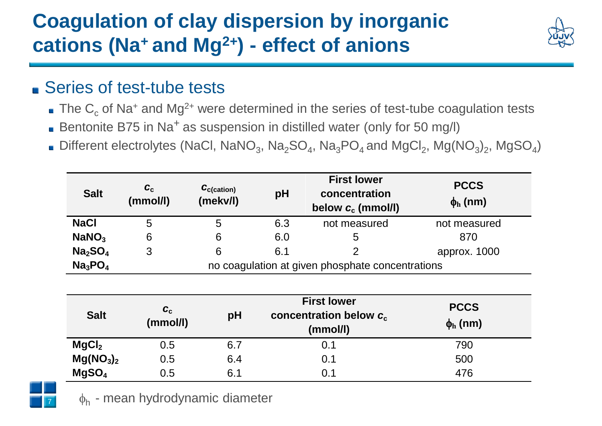## **Coagulation of clay dispersion by inorganic cations (Na<sup>+</sup>and Mg2+) - effect of anions**



### ■ Series of test-tube tests

- $\blacksquare$  The C<sub>c</sub> of Na<sup>+</sup> and Mg<sup>2+</sup> were determined in the series of test-tube coagulation tests
- Bentonite B75 in Na<sup>+</sup> as suspension in distilled water (only for 50 mg/l)
- Different electrolytes (NaCl, NaNO<sub>3</sub>, Na<sub>2</sub>SO<sub>4</sub>, Na<sub>3</sub>PO<sub>4</sub> and MgCl<sub>2</sub>, Mg(NO<sub>3</sub>)<sub>2</sub>, MgSO<sub>4</sub>)

| <b>Salt</b>                     | $\boldsymbol{c}_{\rm c}$<br>(mmol/l)             | $C_{\text{c}(\text{cation})}$<br>(mekv/l) | pH  | <b>First lower</b><br>concentration<br>below $c_c$ (mmol/l) | <b>PCCS</b><br>$\phi$ <sub>h</sub> (nm) |  |
|---------------------------------|--------------------------------------------------|-------------------------------------------|-----|-------------------------------------------------------------|-----------------------------------------|--|
| <b>NaCl</b>                     | 5                                                | 5                                         | 6.3 | not measured                                                | not measured                            |  |
| NaNO <sub>3</sub>               | 6                                                | 6                                         | 6.0 | 5                                                           | 870                                     |  |
| Na <sub>2</sub> SO <sub>4</sub> | 3                                                | 6                                         | 6.1 |                                                             | approx. 1000                            |  |
| Na <sub>3</sub> PO <sub>4</sub> | no coagulation at given phosphate concentrations |                                           |     |                                                             |                                         |  |

| <b>Salt</b>                       | $c_{\rm c}$<br>(mmol/l) | pH  | <b>First lower</b><br>concentration below $c_c$<br>(mmol/l) | <b>PCCS</b><br>$\phi$ <sub>h</sub> (nm) |
|-----------------------------------|-------------------------|-----|-------------------------------------------------------------|-----------------------------------------|
| MgCl <sub>2</sub>                 | $0.5\,$                 | 6.7 | 0.1                                                         | 790                                     |
| Mg(NO <sub>3</sub> ) <sub>2</sub> | 0.5                     | 6.4 | 0.1                                                         | 500                                     |
| MgSO <sub>4</sub>                 | 0.5                     | 6.1 | 0.1                                                         | 476                                     |



 $\phi_h$  - mean hydrodynamic diameter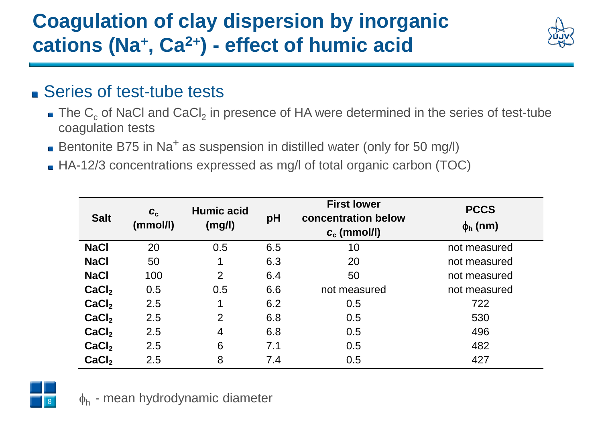# **Coagulation of clay dispersion by inorganic cations (Na<sup>+</sup> , Ca2+) - effect of humic acid**



### ■ Series of test-tube tests

- The  $\textsf{C}_\textsf{c}$  of NaCl and CaCl<sub>2</sub> in presence of HA were determined in the series of test-tube coagulation tests
- Bentonite B75 in Na<sup>+</sup> as suspension in distilled water (only for 50 mg/l)
- HA-12/3 concentrations expressed as mg/l of total organic carbon (TOC)

| <b>Salt</b>       | $c_{c}$<br>(mmol/l) | <b>Humic acid</b><br>(mg/l) | pH  | <b>First lower</b><br>concentration below<br>$c_c$ (mmol/l) | <b>PCCS</b><br>$\phi_{h}$ (nm) |
|-------------------|---------------------|-----------------------------|-----|-------------------------------------------------------------|--------------------------------|
| <b>NaCl</b>       | 20                  | 0.5                         | 6.5 | 10                                                          | not measured                   |
| <b>NaCl</b>       | 50                  | 1                           | 6.3 | 20                                                          | not measured                   |
| <b>NaCl</b>       | 100                 | $\overline{2}$              | 6.4 | 50                                                          | not measured                   |
| CaCl <sub>2</sub> | 0.5                 | 0.5                         | 6.6 | not measured                                                | not measured                   |
| CaCl <sub>2</sub> | 2.5                 | 1                           | 6.2 | 0.5                                                         | 722                            |
| CaCl <sub>2</sub> | 2.5                 | $\overline{2}$              | 6.8 | 0.5                                                         | 530                            |
| CaCl <sub>2</sub> | 2.5                 | 4                           | 6.8 | 0.5                                                         | 496                            |
| CaCl <sub>2</sub> | 2.5                 | 6                           | 7.1 | 0.5                                                         | 482                            |
| CaCl <sub>2</sub> | 2.5                 | 8                           | 7.4 | 0.5                                                         | 427                            |

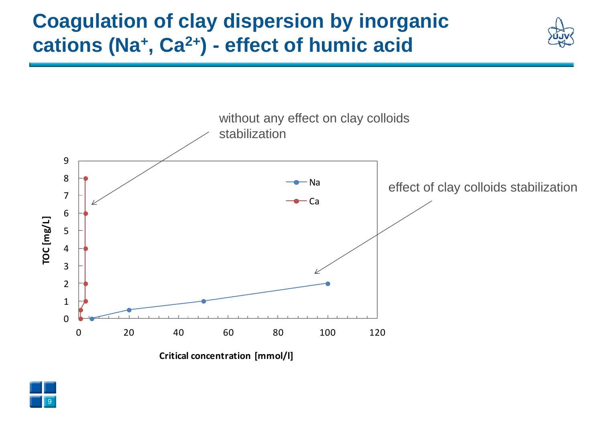## **Coagulation of clay dispersion by inorganic cations (Na<sup>+</sup> , Ca2+) - effect of humic acid**



**Critical concentration [mmol/l]**

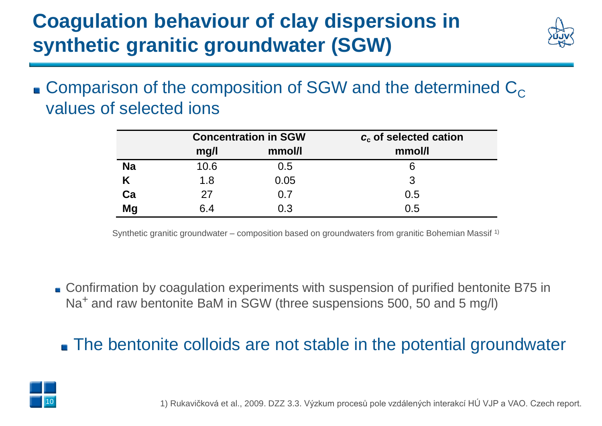# **Coagulation behaviour of clay dispersions in synthetic granitic groundwater (SGW)**



**Comparison of the composition of SGW and the determined**  $C_{\text{C}}$ values of selected ions

|           |      | <b>Concentration in SGW</b> | $c_c$ of selected cation |  |  |
|-----------|------|-----------------------------|--------------------------|--|--|
|           | mg/l | mmol/l                      | mmol/l                   |  |  |
| <b>Na</b> | 10.6 | 0.5                         | 6                        |  |  |
|           | 1.8  | 0.05                        | 3                        |  |  |
| Ca        | 27   | 0.7                         | 0.5                      |  |  |
| <b>Mg</b> | 6.4  | 0.3                         | 0.5                      |  |  |

Synthetic granitic groundwater – composition based on groundwaters from granitic Bohemian Massif 1)

■ Confirmation by coagulation experiments with suspension of purified bentonite B75 in Na<sup>+</sup> and raw bentonite BaM in SGW (three suspensions 500, 50 and 5 mg/l)

The bentonite colloids are not stable in the potential groundwater